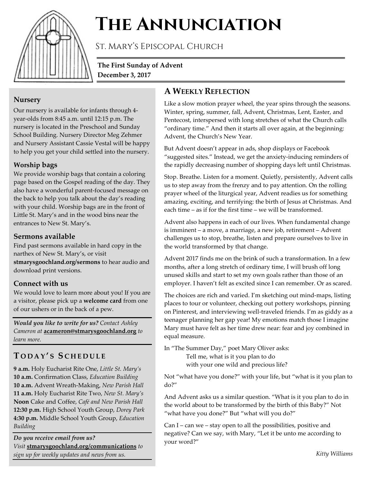

# **The Annunciation**

St. Mary's Episcopal Church

**The First Sunday of Advent December 3, 2017**

### **Nursery**

Our nursery is available for infants through 4 year-olds from 8:45 a.m. until 12:15 p.m. The nursery is located in the Preschool and Sunday School Building. Nursery Director Meg Zehmer and Nursery Assistant Cassie Vestal will be happy to help you get your child settled into the nursery.

## **Worship bags**

We provide worship bags that contain a coloring page based on the Gospel reading of the day. They also have a wonderful parent-focused message on the back to help you talk about the day's reading with your child. Worship bags are in the front of Little St. Mary's and in the wood bins near the entrances to New St. Mary's.

## **Sermons available**

Find past sermons available in hard copy in the narthex of New St. Mary's, or visit **stmarysgoochland.org/sermons** to hear audio and download print versions.

## **Connect with us**

We would love to learn more about you! If you are a visitor, please pick up a **welcome card** from one of our ushers or in the back of a pew.

*Would you like to write for us? Contact Ashley Cameron at* **acameron@stmarysgoochland.org** *to learn more.*

# **T ODAY ' S S CHEDULE**

**9 a.m.** Holy Eucharist Rite One, *Little St. Mary's* **10 a.m.** Confirmation Class, *Education Building* **10 a.m.** Advent Wreath-Making, *New Parish Hall* **11 a.m.** Holy Eucharist Rite Two, *New St. Mary's* **Noon** Cake and Coffee, *Café and New Parish Hall* **12:30 p.m.** High School Youth Group, *Dorey Park* **4:30 p.m.** Middle School Youth Group, *Education Building*

*Do you receive email from us? Visit* **stmarysgoochland.org/communications** *to sign up for weekly updates and news from us.*

## **A WEEKLY REFLECTION**

Like a slow motion prayer wheel, the year spins through the seasons. Winter, spring, summer, fall, Advent, Christmas, Lent, Easter, and Pentecost, interspersed with long stretches of what the Church calls "ordinary time." And then it starts all over again, at the beginning: Advent, the Church's New Year.

But Advent doesn't appear in ads, shop displays or Facebook "suggested sites." Instead, we get the anxiety-inducing reminders of the rapidly decreasing number of shopping days left until Christmas.

Stop. Breathe. Listen for a moment. Quietly, persistently, Advent calls us to step away from the frenzy and to pay attention. On the rolling prayer wheel of the liturgical year, Advent readies us for something amazing, exciting, and terrifying: the birth of Jesus at Christmas. And each time – as if for the first time – we will be transformed.

Advent also happens in each of our lives. When fundamental change is imminent – a move, a marriage, a new job, retirement – Advent challenges us to stop, breathe, listen and prepare ourselves to live in the world transformed by that change.

Advent 2017 finds me on the brink of such a transformation. In a few months, after a long stretch of ordinary time, I will brush off long unused skills and start to set my own goals rather than those of an employer. I haven't felt as excited since I can remember. Or as scared.

The choices are rich and varied. I'm sketching out mind-maps, listing places to tour or volunteer, checking out pottery workshops, pinning on Pinterest, and interviewing well-traveled friends. I'm as giddy as a teenager planning her gap year! My emotions match those I imagine Mary must have felt as her time drew near: fear and joy combined in equal measure.

In "The Summer Day," poet Mary Oliver asks: Tell me, what is it you plan to do

with your one wild and precious life?

Not "what have you done?" with your life, but "what is it you plan to do?"

And Advent asks us a similar question. "What is it you plan to do in the world about to be transformed by the birth of this Baby?" Not "what have you done?" But "what will you do?"

Can I – can we – stay open to all the possibilities, positive and negative? Can we say, with Mary, "Let it be unto me according to your word?"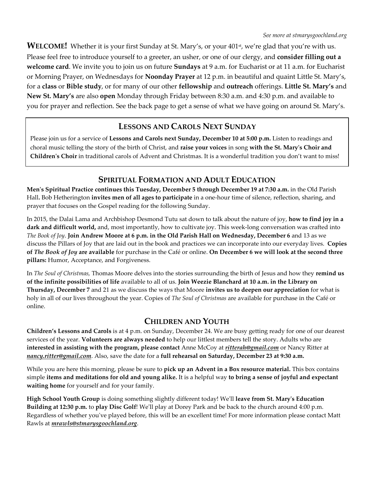WELCOME! Whether it is your first Sunday at St. Mary's, or your 401<sup>st</sup>, we're glad that you're with us. Please feel free to introduce yourself to a greeter, an usher, or one of our clergy, and **consider filling out a welcome card**. We invite you to join us on future **Sundays** at 9 a.m. for Eucharist or at 11 a.m. for Eucharist or Morning Prayer, on Wednesdays for **Noonday Prayer** at 12 p.m. in beautiful and quaint Little St. Mary's, for a **class** or **Bible study**, or for many of our other **fellowship** and **outreach** offerings. **Little St. Mary's** and **New St. Mary's** are also **open** Monday through Friday between 8:30 a.m. and 4:30 p.m. and available to you for prayer and reflection. See the back page to get a sense of what we have going on around St. Mary's.

## **LESSONS AND CAROLS NEXT SUNDAY**

Please join us for a service of **Lessons and Carols next Sunday, December 10 at 5:00 p.m.** Listen to readings and choral music telling the story of the birth of Christ, and **raise your voices** in song **with the St. Mary's Choir and Children's Choir** in traditional carols of Advent and Christmas. It is a wonderful tradition you don't want to miss!

## **SPIRITUAL FORMATION AND ADULT EDUCATION**

**Men's Spiritual Practice continues this Tuesday, December 5 through December 19 at 7:30 a.m.** in the Old Parish Hall**.** Bob Hetherington **invites men of all ages to participate** in a one-hour time of silence, reflection, sharing, and prayer that focuses on the Gospel reading for the following Sunday.

In 2015, the Dalai Lama and Archbishop Desmond Tutu sat down to talk about the nature of joy, **how to find joy in a dark and difficult world,** and, most importantly, how to cultivate joy. This week-long conversation was crafted into *The Book of Joy*. **Join Andrew Moore at 6 p.m. in the Old Parish Hall on Wednesday, December 6** and 13 as we discuss the Pillars of Joy that are laid out in the book and practices we can incorporate into our everyday lives. **Copies of** *The Book of Joy* **are available** for purchase in the Café or online. **On December 6 we will look at the second three pillars:** Humor, Acceptance, and Forgiveness.

In *The Soul of Christmas,* Thomas Moore delves into the stories surrounding the birth of Jesus and how they **remind us of the infinite possibilities of life** available to all of us. **Join Weezie Blanchard at 10 a.m. in the Library on Thursday, December 7** and 21 as we discuss the ways that Moore **invites us to deepen our appreciation** for what is holy in all of our lives throughout the year. Copies of *The Soul of Christmas* are available for purchase in the Café or online.

#### **CHILDREN AND YOUTH**

**Children's Lessons and Carols** is at 4 p.m. on Sunday, December 24. We are busy getting ready for one of our dearest services of the year. **Volunteers are always needed** to help our littlest members tell the story. Adults who are **interested in assisting with the program, please contact** Anne McCoy at *ritterah@gmail.com* or Nancy Ritter at *nancy.ritter@gmail.com*. Also, save the date for a **full rehearsal on Saturday, December 23 at 9:30 a.m.**

While you are here this morning, please be sure to **pick up an Advent in a Box resource material.** This box contains simple **items and meditations for old and young alike.** It is a helpful way **to bring a sense of joyful and expectant waiting home** for yourself and for your family.

**High School Youth Group** is doing something slightly different today! We'll **leave from St. Mary's Education Building at 12:30 p.m.** to **play Disc Golf**! We'll play at Dorey Park and be back to the church around 4:00 p.m. Regardless of whether you've played before, this will be an excellent time! For more information please contact Matt Rawls at *mrawls@stmarysgoochland.org*.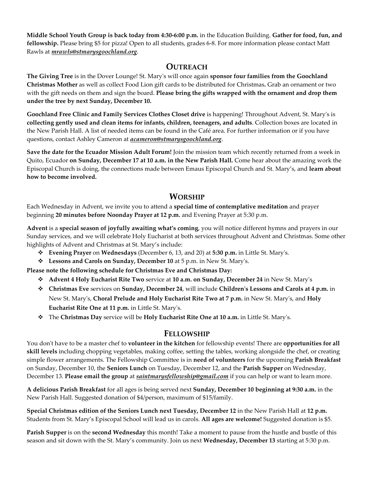**Middle School Youth Group is back today from 4:30-6:00 p.m.** in the Education Building. **Gather for food, fun, and fellowship.** Please bring \$5 for pizza! Open to all students, grades 6-8. For more information please contact Matt Rawls at *mrawls@stmarysgoochland.org*.

#### **OUTREACH**

**The Giving Tree** is in the Dover Lounge! St. Mary's will once again **sponsor four families from the Goochland Christmas Mother** as well as collect Food Lion gift cards to be distributed for Christmas**.** Grab an ornament or two with the gift needs on them and sign the board. **Please bring the gifts wrapped with the ornament and drop them under the tree by next Sunday, December 10.**

**Goochland Free Clinic and Family Services Clothes Closet drive** is happening! Throughout Advent, St. Mary's is **collecting gently used and clean items for infants, children, teenagers, and adults**. Collection boxes are located in the New Parish Hall. A list of needed items can be found in the Café area. For further information or if you have questions, contact Ashley Cameron at *acameron@stmarysgoochland.org*.

**Save the date for the Ecuador Mission Adult Forum!** Join the mission team which recently returned from a week in Quito, Ecuador **on Sunday, December 17 at 10 a.m. in the New Parish Hall.** Come hear about the amazing work the Episcopal Church is doing, the connections made between Emaus Episcopal Church and St. Mary's, and **learn about how to become involved.**

#### **WORSHIP**

Each Wednesday in Advent, we invite you to attend a **special time of contemplative meditation** and prayer beginning **20 minutes before Noonday Prayer at 12 p.m.** and Evening Prayer at 5:30 p.m.

**Advent** is a **special season of joyfully awaiting what's coming**, you will notice different hymns and prayers in our Sunday services, and we will celebrate Holy Eucharist at both services throughout Advent and Christmas. Some other highlights of Advent and Christmas at St. Mary's include:

- **Evening Prayer** on **Wednesdays** (December 6, 13, and 20) at **5:30 p.m.** in Little St. Mary's.
- **Lessons and Carols on Sunday, December 10** at 5 p.m. in New St. Mary's.

**Please note the following schedule for Christmas Eve and Christmas Day:**

- **Advent 4 Holy Eucharist Rite Two** service at **10 a.m. on Sunday, December 24** in New St. Mary's
- **Christmas Eve** services on **Sunday, December 24**, will include **Children's Lessons and Carols at 4 p.m.** in New St. Mary's, **Choral Prelude and Holy Eucharist Rite Two at 7 p.m.** in New St. Mary's, and **Holy Eucharist Rite One at 11 p.m.** in Little St. Mary's.
- The **Christmas Day** service will be **Holy Eucharist Rite One at 10 a.m.** in Little St. Mary's.

#### **FELLOWSHIP**

You don't have to be a master chef to **volunteer in the kitchen** for fellowship events! There are **opportunities for all skill levels** including chopping vegetables, making coffee, setting the tables, working alongside the chef, or creating simple flower arrangements. The Fellowship Committee is in **need of volunteers** for the upcoming **Parish Breakfast** on Sunday, December 10, the **Seniors Lunch** on Tuesday, December 12, and the **Parish Supper** on Wednesday, December 13. **Please email the group** at *saintmarysfellowship@gmail.com* if you can help or want to learn more.

**A delicious Parish Breakfast** for all ages is being served next **Sunday, December 10 beginning at 9:30 a.m.** in the New Parish Hall. Suggested donation of \$4/person, maximum of \$15/family.

**Special Christmas edition of the Seniors Lunch next Tuesday, December 12** in the New Parish Hall at **12 p.m.** Students from St. Mary's Episcopal School will lead us in carols. **All ages are welcome!** Suggested donation is \$5.

**Parish Supper** is on the **second Wednesday** this month! Take a moment to pause from the hustle and bustle of this season and sit down with the St. Mary's community. Join us next **Wednesday, December 13** starting at 5:30 p.m.